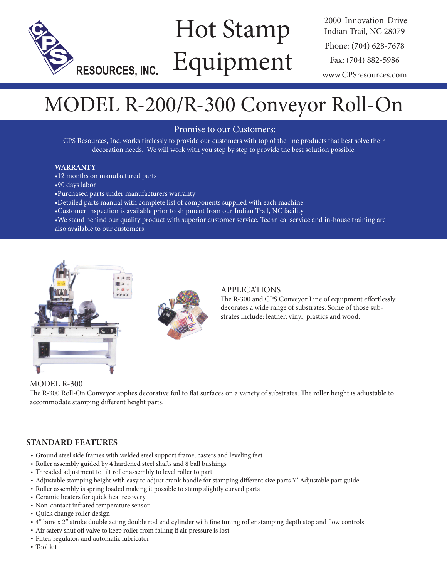

# Hot Stamp Equipment

2000 Innovation Drive Indian Trail, NC 28079 Phone: (704) 628-7678 Fax: (704) 882-5986 www.CPSresources.com

## MODEL R-200/R-300 Conveyor Roll-On

Promise to our Customers:

CPS Resources, Inc. works tirelessly to provide our customers with top of the line products that best solve their decoration needs. We will work with you step by step to provide the best solution possible.

#### **WARRANTY**

- •12 months on manufactured parts
- •90 days labor
- •Purchased parts under manufacturers warranty
- •Detailed parts manual with complete list of components supplied with each machine
- •Customer inspection is available prior to shipment from our Indian Trail, NC facility
- •We stand behind our quality product with superior customer service. Technical service and in-house training are also available to our customers.



#### APPLICATIONS

The R-300 and CPS Conveyor Line of equipment effortlessly decorates a wide range of substrates. Some of those substrates include: leather, vinyl, plastics and wood.

#### MODEL R-300

The R-300 Roll-On Conveyor applies decorative foil to flat surfaces on a variety of substrates. The roller height is adjustable to accommodate stamping different height parts.

#### **STANDARD FEATURES**

- Ground steel side frames with welded steel support frame, casters and leveling feet
- Roller assembly guided by 4 hardened steel shafts and 8 ball bushings
- Threaded adjustment to tilt roller assembly to level roller to part
- Adjustable stamping height with easy to adjust crank handle for stamping different size parts Y' Adjustable part guide
- Roller assembly is spring loaded making it possible to stamp slightly curved parts
- Ceramic heaters for quick heat recovery
- Non-contact infrared temperature sensor
- Quick change roller design
- 4" bore x 2" stroke double acting double rod end cylinder with fine tuning roller stamping depth stop and flow controls
- Air safety shut off valve to keep roller from falling if air pressure is lost
- Filter, regulator, and automatic lubricator
- Tool kit